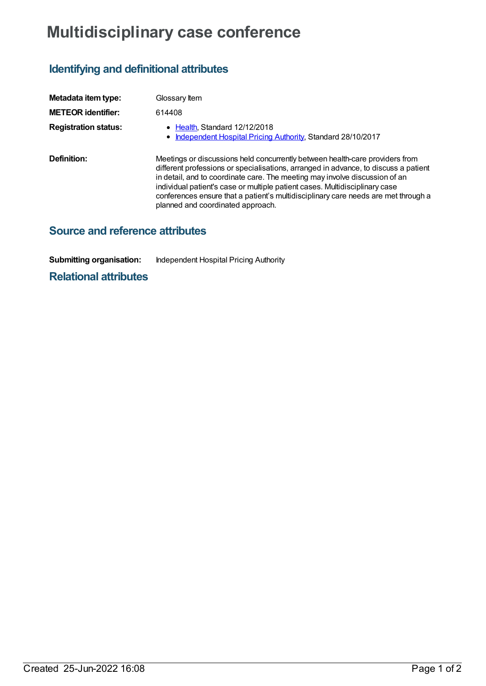# **Multidisciplinary case conference**

## **Identifying and definitional attributes**

| Metadata item type:         | Glossary Item                                                                                                                                                                                                                                                                                                                                                                                                                                                |
|-----------------------------|--------------------------------------------------------------------------------------------------------------------------------------------------------------------------------------------------------------------------------------------------------------------------------------------------------------------------------------------------------------------------------------------------------------------------------------------------------------|
| <b>METEOR identifier:</b>   | 614408                                                                                                                                                                                                                                                                                                                                                                                                                                                       |
| <b>Registration status:</b> | $\bullet$ Health Standard 12/12/2018<br>• Independent Hospital Pricing Authority, Standard 28/10/2017                                                                                                                                                                                                                                                                                                                                                        |
| Definition:                 | Meetings or discussions held concurrently between health-care providers from<br>different professions or specialisations, arranged in advance, to discuss a patient<br>in detail, and to coordinate care. The meeting may involve discussion of an<br>individual patient's case or multiple patient cases. Multidisciplinary case<br>conferences ensure that a patient's multidisciplinary care needs are met through a<br>planned and coordinated approach. |

### **Source and reference attributes**

**Submitting organisation:** Independent Hospital Pricing Authority

#### **Relational attributes**